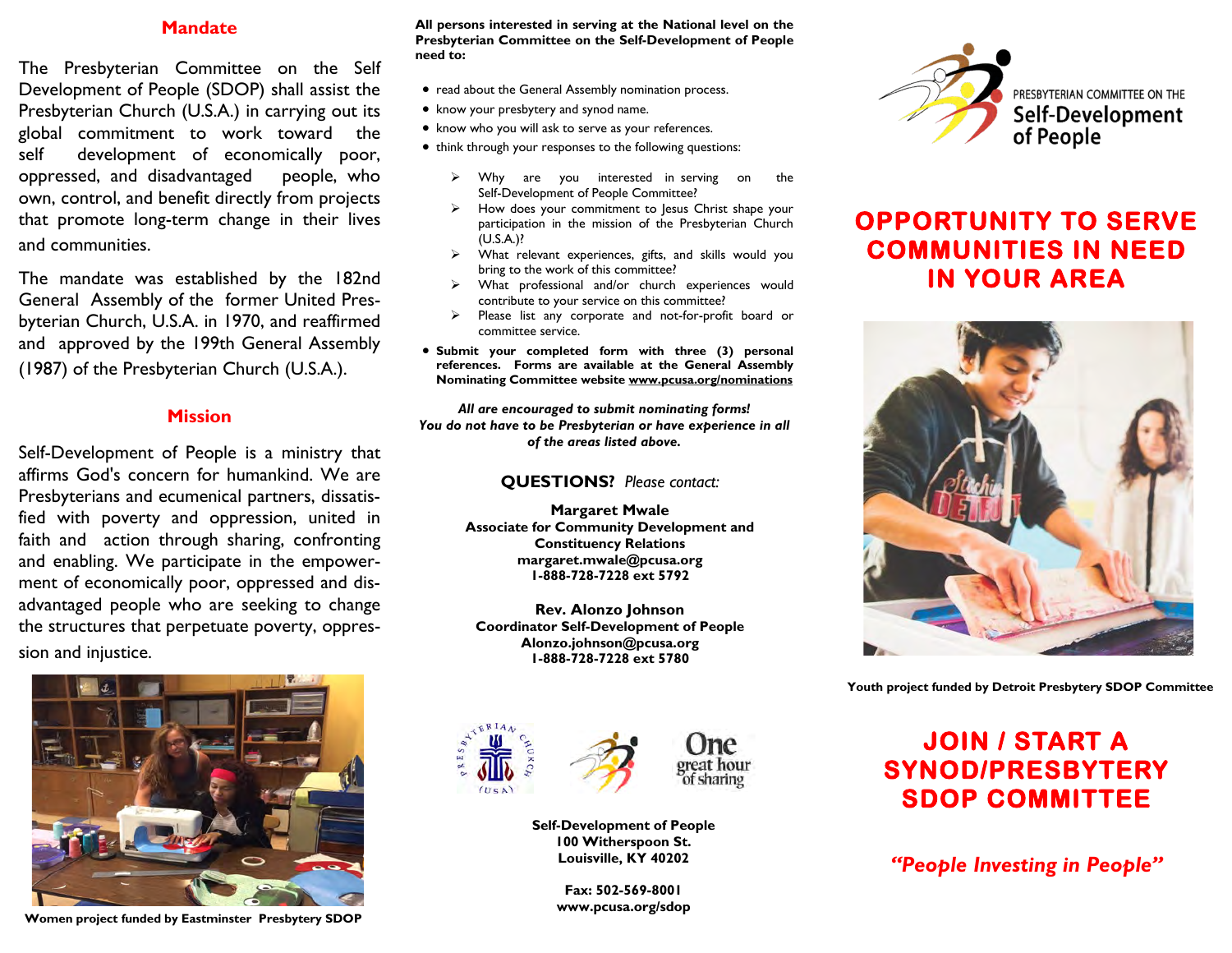### **Mandate**

The Presbyterian Committee on the Self Development of People (SDOP) shall assist the Presbyterian Church (U.S.A.) in carrying out its global commitment to work toward the self development of economically poor, oppressed, and disadvantaged people, who own, control, and benefit directly from projects that promote long-term change in their lives and communities.

The mandate was established by the 182nd General Assembly of the former United Presbyterian Church, U.S.A. in 1970, and reaffirmed and approved by the 199th General Assembly (1987) of the Presbyterian Church (U.S.A.).

#### **Mission**

Self-Development of People is a ministry that affirms God's concern for humankind. We are Presbyterians and ecumenical partners, dissatisfied with poverty and oppression, united in faith and action through sharing, confronting and enabling. We participate in the empowerment of economically poor, oppressed and disadvantaged people who are seeking to change the structures that perpetuate poverty, oppression and injustice.



**Women project funded by Eastminster Presbytery SDOP** 

**All persons interested in serving at the National level on the Presbyterian Committee on the Self-Development of People need to:**

- read about the General Assembly nomination process.
- know your presbytery and synod name.
- know who you will ask to serve as your references.
- think through your responses to the following questions:
	- ➢ Why are you interested in serving on the Self-Development of People Committee?
	- ➢ How does your commitment to Jesus Christ shape your participation in the mission of the Presbyterian Church (U.S.A.)?
	- ➢ What relevant experiences, gifts, and skills would you bring to the work of this committee?
	- ➢ What professional and/or church experiences would contribute to your service on this committee?
	- Please list any corporate and not-for-profit board or committee service.
- **Submit your completed form with three (3) personal references. Forms are available at the General Assembly Nominating Committee website www.pcusa.org/nominations**

*All are encouraged to submit nominating forms! You do not have to be Presbyterian or have experience in all of the areas listed above.*

#### **QUESTIONS?** *Please contact:*

**Margaret Mwale Associate for Community Development and Constituency Relations margaret.mwale@pcusa.org 1-888-728-7228 ext 5792** 

**Rev. Alonzo Johnson Coordinator Self-Development of People Alonzo.johnson@pcusa.org 1-888-728-7228 ext 5780** 



**Self-Development of People 100 Witherspoon St. Louisville, KY 40202**

> **Fax: 502-569-8001 www.pcusa.org/sdop**



# **OPPORTUNITY TO SERVE COMMUNITIES IN NEED IN YOUR AREA**



**Youth project funded by Detroit Presbytery SDOP Committee**

# **JOIN / START A SYNOD/PRESBYTERY SDOP COMMITTEE**

*"People Investing in People"*